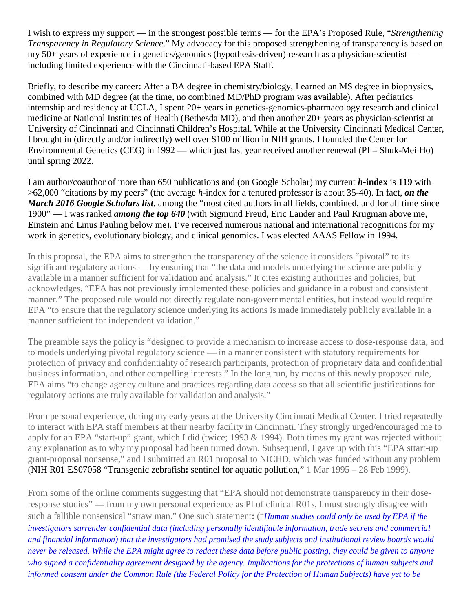I wish to express my support — in the strongest possible terms — for the EPA's Proposed Rule, "*Strengthening Transparency in Regulatory Science*." My advocacy for this proposed strengthening of transparency is based on my 50+ years of experience in genetics/genomics (hypothesis-driven) research as a physician-scientist including limited experience with the Cincinnati-based EPA Staff.

Briefly, to describe my career**:** After a BA degree in chemistry/biology, I earned an MS degree in biophysics, combined with MD degree (at the time, no combined MD/PhD program was available). After pediatrics internship and residency at UCLA, I spent 20+ years in genetics-genomics-pharmacology research and clinical medicine at National Institutes of Health (Bethesda MD), and then another 20+ years as physician-scientist at University of Cincinnati and Cincinnati Children's Hospital. While at the University Cincinnati Medical Center, I brought in (directly and/or indirectly) well over \$100 million in NIH grants. I founded the Center for Environmental Genetics (CEG) in 1992 — which just last year received another renewal (PI = Shuk-Mei Ho) until spring 2022.

I am author/coauthor of more than 650 publications and (on Google Scholar) my current *h***-index** is **119** with >62,000 "citations by my peers" (the average *h*-index for a tenured professor is about 35-40). In fact, *on the March 2016 Google Scholars list*, among the "most cited authors in all fields, combined, and for all time since 1900" — I was ranked *among the top 640* (with Sigmund Freud, Eric Lander and Paul Krugman above me, Einstein and Linus Pauling below me). I've received numerous national and international recognitions for my work in genetics, evolutionary biology, and clinical genomics. I was elected AAAS Fellow in 1994.

In this proposal, the EPA aims to strengthen the transparency of the science it considers "pivotal" to its significant regulatory actions — by ensuring that "the data and models underlying the science are publicly available in a manner sufficient for validation and analysis." It cites existing authorities and policies, but acknowledges, "EPA has not previously implemented these policies and guidance in a robust and consistent manner." The proposed rule would not directly regulate non-governmental entities, but instead would require EPA "to ensure that the regulatory science underlying its actions is made immediately publicly available in a manner sufficient for independent validation."

The preamble says the policy is "designed to provide a mechanism to increase access to dose-response data, and to models underlying pivotal regulatory science — in a manner consistent with statutory requirements for protection of privacy and confidentiality of research participants, protection of proprietary data and confidential business information, and other compelling interests." In the long run, by means of this newly proposed rule, EPA aims "to change agency culture and practices regarding data access so that all scientific justifications for regulatory actions are truly available for validation and analysis."

From personal experience, during my early years at the University Cincinnati Medical Center, I tried repeatedly to interact with EPA staff members at their nearby facility in Cincinnati. They strongly urged/encouraged me to apply for an EPA "start-up" grant, which I did (twice; 1993 & 1994). Both times my grant was rejected without any explanation as to why my proposal had been turned down. Subsequentl, I gave up with this "EPA sttart-up grant-proposal nonsense," and I submitted an R01 proposal to NICHD, which was funded without any problem (NIH R01 ES07058 "Transgenic zebrafish**:** sentinel for aquatic pollution," 1 Mar 1995 – 28 Feb 1999).

From some of the online comments suggesting that "EPA should not demonstrate transparency in their doseresponse studies" — from my own personal experience as PI of clinical R01s, I must strongly disagree with such a fallible nonsensical "straw man." One such statement**:** ("*Human studies could only be used by EPA if the investigators surrender confidential data (including personally identifiable information, trade secrets and commercial and financial information) that the investigators had promised the study subjects and institutional review boards would never be released. While the EPA might agree to redact these data before public posting, they could be given to anyone who signed a confidentiality agreement designed by the agency. Implications for the protections of human subjects and informed consent under the Common Rule (the Federal Policy for the Protection of Human Subjects) have yet to be*